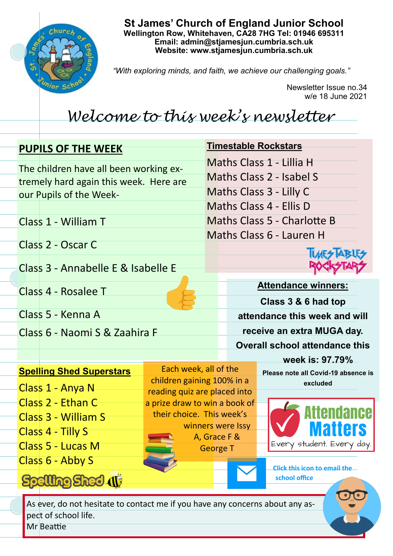

**St James' Church of England Junior School Wellington Row, Whitehaven, CA28 7HG Tel: 01946 695311 Email: admin@stjamesjun.cumbria.sch.uk Website: www.stjamesjun.cumbria.sch.uk**

*"With exploring minds, and faith, we achieve our challenging goals."*

Newsletter Issue no.34 w/e 18 June 2021

## *Welcome to this week's newsletter*

Each week, all of the children gaining 100% in a reading quiz are placed into a prize draw to win a book of their choice. This week's

> winners were Issy A, Grace F & George T

## **PUPILS OF THE WEEK**

The children have all been working extremely hard again this week. Here are our Pupils of the Week-

Class 1 - William T

Class 2 - Oscar C

Class 3 - Annabelle E & Isabelle E

Class 4 - Rosalee T

Class 5 - Kenna A

Class 1 - Anya N

Class 2 - Ethan C

Class 4 - Tilly S

Class 3 - William S

Class 5 - Lucas M

Class 6 - Abby S

**Spelling Shed (1)** 

Class 6 - Naomi S & Zaahira F

**Spelling Shed Superstars**



**IMES A** 

**Attendance winners: Class 3 & 6 had top attendance this week and will receive an extra MUGA day. Overall school attendance this** 

> **week is: 97.79% Please note all Covid-19 absence is excluded**



**Click this icon to email the school office**

As ever, do not hesitate to contact me if you have any concerns about any aspect of school life.

Mr Beattie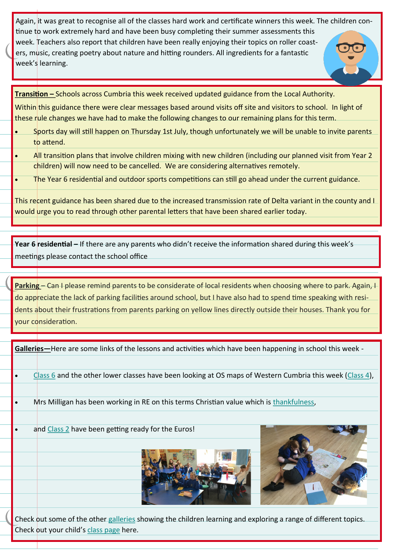Again, it was great to recognise all of the classes hard work and certificate winners this week. The children continue to work extremely hard and have been busy completing their summer assessments this week. Teachers also report that children have been really enjoying their topics on roller coasters, music, creating poetry about nature and hitting rounders. All ingredients for a fantastic week's learning.

**Transition –** Schools across Cumbria this week received updated guidance from the Local Authority.

Within this guidance there were clear messages based around visits off site and visitors to school. In light of these rule changes we have had to make the following changes to our remaining plans for this term.

- Sports day will still happen on Thursday 1st July, though unfortunately we will be unable to invite parents to attend.
- All transition plans that involve children mixing with new children (including our planned visit from Year 2 children) will now need to be cancelled. We are considering alternatives remotely.
- The Year 6 residential and outdoor sports competitions can still go ahead under the current guidance.

This recent guidance has been shared due to the increased transmission rate of Delta variant in the county and I would urge you to read through other parental letters that have been shared earlier today.

**Year 6 residential –** If there are any parents who didn't receive the information shared during this week's meetings please contact the school office

**Parking** – Can I please remind parents to be considerate of local residents when choosing where to park. Again, I do appreciate the lack of parking facilities around school, but I have also had to spend time speaking with residents about their frustrations from parents parking on yellow lines directly outside their houses. Thank you for your consideration.

**Galleries—**Here are some links of the lessons and activities which have been happening in school this week -

• [Class 6](http://www.stjamesjun.cumbria.sch.uk/work/os-maps/66080) and the other lower classes have been looking at OS maps of Western Cumbria this week ([Class 4\)](http://www.stjamesjun.cumbria.sch.uk/work/using-ordnance-survey-maps/66030),

- Mrs Milligan has been working in RE on this terms Christian value which is [thankfulness,](http://www.stjamesjun.cumbria.sch.uk/work/christian-value-thankfulness/66009)
- and [Class 2](http://www.stjamesjun.cumbria.sch.uk/work/its-coming-home/65990) have been getting ready for the Euros!





Check out some of the other [galleries](http://www.stjamesjun.cumbria.sch.uk/works) showing the children learning and exploring a range of different topics. Check out your child's [class page](http://www.stjamesjun.cumbria.sch.uk/classes) here.